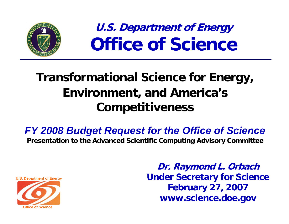

**U.S. Department of Energy Office of Science**

# **Transformational Science for Energy, Environment, and America's Competitiveness**

*FY 2008 Budget Request for the Office of Science*

**Presentation to the Advanced Scientific Computing Advisory Committee**



**Dr. Raymond L. Orbach Under Secretary for Science February 27, 2007 www.science.doe.gov**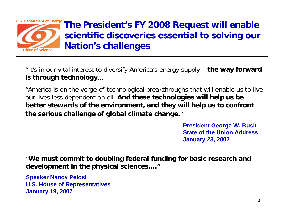

**The President's FY 2008 Request will enable scientific discoveries essential to solving our Nation's challenges**

"It's in our vital interest to diversify America's energy supply – **the way forward is through technology** …

"America is on the verge of technological breakthroughs that will enable us to live our lives less dependent on oil. **And these technologies will help us be better stewards of the environment, and they will help us to confront the serious challenge of global climate change.**"

> **President George W. Bush State of the Union Address January 23, 2007**

"**We must commit to doubling federal funding for basic research and development in the physical sciences…."**

**Speaker Nancy Pelosi U.S. House of Representatives January 19, 2007**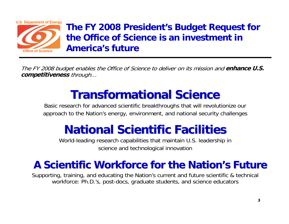

## **The FY 2008 President's Budget Request for the Office of Science is an investment in America's future**

The FY 2008 budget enables the Office of Science to deliver on its mission and **enhance U.S. competitiveness** through…

# **Transformational Science Transformational Science**

Basic research for advanced scientific breakthroughs that will revolutionize our approach to the Nation's energy, environment, and national security challenges

# **National Scientific Facilities National Scientific Facilities**

World-leading research capabilities that maintain U.S. leadership in science and technological innovation

## **A Scientific Workforce for the Nation A Scientific Workforce for the Nation's Future s Future**

Supporting, training, and educating the Nation's current and future scientific & technical workforce: Ph.D.'s, post-docs, graduate students, and science educators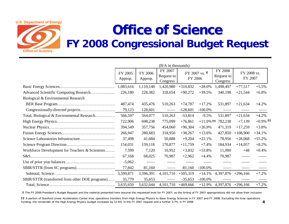

# **Office of Science Office of Science FY 2008 Congressional Budget Request**

|                                                 | (B/A in thousands) |                    |                                   |            |                          |                                          |                        |             |
|-------------------------------------------------|--------------------|--------------------|-----------------------------------|------------|--------------------------|------------------------------------------|------------------------|-------------|
|                                                 | FY 2005<br>Approp. | FY 2006<br>Approp. | FY 2007<br>Request to<br>Congress | FY 2006    | FY 2007 vs. <sup>†</sup> | <b>FY 2008</b><br>Request to<br>Congress | FY 2008 vs.<br>FY 2007 |             |
|                                                 | 1,083,616          | 1,110,148          | 1,420,980                         | $+310,832$ | $+28.0%$                 | 1,498,497                                | $+77,517$              | $+5.5%$     |
| Advanced Scientific Computing Research          | 226,180            | 228,382            | 318,654                           | $+90,272$  | $+39.5%$                 | 340,198                                  | $+21,544$              | $+6.8\%$    |
| Biological & Environmental Research             |                    |                    |                                   |            |                          |                                          |                        |             |
|                                                 | 487,474            | 435,476            | 510,263                           | $+74,787$  | $+17.2%$                 | 531,897                                  | $+21,634$              | $+4.2%$     |
|                                                 | 79,123             | 128,601            |                                   | $-128,601$ | $-100.0\%$               |                                          |                        |             |
| Total, Biological & Environmental Research      | 566,597            | 564,077            | 510,263                           | $-53,814$  | $-9.5%$                  | 531,897                                  | $+21,634$              | $+4.2%$     |
|                                                 | 722,906            | 698,238            | 775,099                           | $+76,861$  | $+11.0\%$ ††             | 782,238                                  | $+7,139$               | $+0.9\%$ 11 |
|                                                 | 394,549            | 357,756            | 454,060                           | $+96,304$  | $+26.9%$                 | 471,319                                  | $+17,259$              | $+3.8%$     |
|                                                 | 266,947            | 280,683            | 318,950                           | $+38,267$  | $+13.6%$                 | 427,850                                  | $+108,900$             | $+34.1%$    |
|                                                 | 37,498             | 41,684             | 50,888                            | $+9,204$   | $+22.1%$                 | 78,956                                   | $+28,068$              | $+55.2%$    |
|                                                 | 154,031            | 159,118            | 170,877                           | $+11,759$  | $+7.4%$                  | 184,934                                  | $+14,057$              | $+8.2%$     |
| Workforce Development for Teachers & Scientists | 7,599              | 7,120              | 10,952                            | $+3,832$   | $+53.8%$                 | 11,000                                   | $+48$                  | $+0.4%$     |
|                                                 | 67,168             | 68,025             | 70,987                            | $+2,962$   | $+4.4%$                  | 70,987                                   |                        |             |
|                                                 | $-5,062$           |                    |                                   |            |                          |                                          |                        |             |
|                                                 | 77,842             | 81,160             |                                   | $-81,160$  | $-100.0\%$               |                                          |                        |             |
|                                                 |                    | 3,596,391          | 4,101,710                         | $+505,319$ | $+14.1%$                 | 4,397,876 +296,166                       |                        | $+7.2%$     |
| SBIR/STTR (transferred from other DOE programs) | 35,779             | 35,653             |                                   | $-35,653$  | $-100.0\%$               |                                          |                        |             |
|                                                 |                    | 3,632,044          | $4,101,710$ +469,666              |            | $+12.9%$                 | 4,397,876 +296,166                       |                        | $+7.2%$     |

**†** The FY 2008 President's Budget Request and the material presented here assume the requested level for FY 2007, as the timing of FY 2007 appropriations did not allow their inclusion.

**††** A portion of Stanford Linear Acceleration Center linac operations transfers from High Energy Physics to Basic Energy Sciences in FY 2007 and FY 2008. Excluding the linac operations funding, the remainder of the High Energy Physics budget increases by 12.6% in the FY 2007 request and a further 3.7% in FY 2008. **4**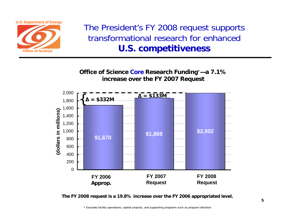

The President's FY 2008 request supports transformational research for enhanced **U.S. competitiveness**

**Office of Science Core Research Funding\*—a 7.1% increase over the FY 2007 Request**



**The FY 2008 request is a 19.8% increase over the FY 2006 appropriated level.**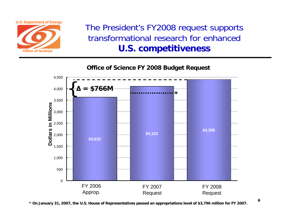

The President's FY2008 request supports transformational research for enhanced **U.S. competitiveness**

**Office of Science FY 2008 Budget Request**



**\* On January 31, 2007, the U.S. House of Representatives passed an appropriations level of \$3,796 million for FY 2007.**

**6**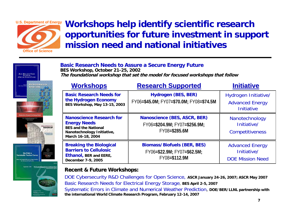

## **Workshops help identify scientific research opportunities for future investment in support mission need and national initiatives**

#### **Basic Research Needs to Assure a Secure Energy Future BES Workshop, October 21-25, 2002 The foundational workshop that set the model for focused workshops that follow**



| <b>Workshops</b>                                                                                                                         | <b>Research Supported</b>                                                          | <b>Initiative</b>                                                   |
|------------------------------------------------------------------------------------------------------------------------------------------|------------------------------------------------------------------------------------|---------------------------------------------------------------------|
| <b>Basic Research Needs for</b><br>the Hydrogen Economy<br>BES Workshop, May 13-15, 2003                                                 | <b>Hydrogen (BES, BER)</b><br>FY06=\$45.0M; FY07=\$70.0M; FY08=\$74.5M             | Hydrogen Initiative/<br><b>Advanced Energy</b><br><b>Initiative</b> |
| <b>Nanoscience Research for</b><br><b>Energy Needs</b><br><b>BES and the National</b><br>Nanotechnology Initiative,<br>March 16-18, 2004 | Nanoscience (BES, ASCR, BER)<br>FY06=\$204.9M; FY07=\$256.9M;<br>FY08=\$285.6M     | Nanotechnology<br>Initiative/<br><b>Competitiveness</b>             |
| <b>Breaking the Biological</b><br><b>Barriers to Cellulosic</b><br>Ethanol, BER and EERE,<br>December 7-9, 2005                          | <b>Biomass/Biofuels (BER, BES)</b><br>FY06=\$22.9M; FY07=\$62.5M;<br>FY08=\$112.9M | <b>Advanced Energy</b><br>Initiative/<br><b>DOE Mission Need</b>    |

#### **Recent & Future Workshops: Recent & Future Workshops:**

DOE Cybersecurity R&D Challenges for Open Science, **ASCR January 24-26, 2007; ASCR May 2007** Basic Research Needs for Electrical Energy Storage, **BES April 2-5, 2007** Systematic Errors in Climate and Numerical Weather Prediction, DOE/BER/LLNL partnership with **the international World Climate Research Program, February 12-14, 2007**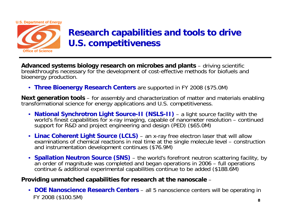

## **Research capabilities and tools to drive U.S. competitiveness**

**Advanced systems biology research on microbes and plants** – driving scientific breakthroughs necessary for the development of cost-effective methods for biofuels and bioenergy production.

• **Three Bioenergy Research Centers** are supported in FY 2008 (\$75.0M)

**Next generation tools** – for assembly and characterization of matter and materials enabling transformational science for energy applications and U.S. competitiveness.

- **National Synchrotron Light Source-II (NSLS-II)** a light source facility with the world's finest capabilities for x-ray imaging, capable of nanometer resolution – continued support for R&D and project engineering and design (PED) (\$65.0M)
- **Linac Coherent Light Source (LCLS)**  an x-ray free electron laser that will allow examinations of chemical reactions in real time at the single molecule level – construction and instrumentation development continues (\$76.9M)
- **Spallation Neutron Source (SNS)** the world's forefront neutron scattering facility, by an order of magnitude was completed and began operations in 2006 – full operations<br>continue & additional experimental capabilities continue to be added (\$188.6M)

#### **Providing unmatched capabilities for research at the nanoscale** –

• **DOE Nanoscience Research Centers** – all 5 nanoscience centers will be operating in FY 2008 (\$100.5M)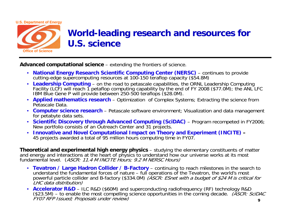

## **World-leading research and resources for U.S. science**

**Advanced computational science** – extending the frontiers of science.

- **National Energy Research Scientific Computing Center (NERSC)** continues to provide cutting-edge supercomputing resources at 100-150 teraflop capacity (\$54.8M)
- Leadership Computing on the road to petascale capabilities, the ORNL Leadership Computing Facility (LCF) will reach 1 petaflop computing capability by the end of FY 2008 (\$77.0M); the ANL LFC IBM Blue Gene P will provide between 250-500 teraflops (\$28.0M).
- **Applied mathematics research** Optimization of Complex Systems; Extracting the science from Petascale Data.
- **Computer science research** Petascale software environment; Visualization and data management for petabyte data sets.
- **Scientific Discovery through Advanced Computing (SciDAC)** Program recompeted in FY2006; New portfolio consists of an Outreach Center and 31 projects.
- **Innovative and Novel Computational Impact on Theory and Experiment (INCITE) –** 45 projects awarded a total of 95 million hours computing time in FY07.

**Theoretical and experimental high energy physics** – studying the elementary constituents of matter and energy and interactions at the heart of physics to understand how our universe works at its most fundamental level. (*ASCR: 11.4 M INCITE Hours; 9.2 M NERSC Hours)* 

- **Tevatron / Large Hadron Collider / B-Factory** continuing to reach milestones in the search to understand the fundamental forces of nature – full operations of the Tevatron, the world's most<br>powerful particle collider and B-factory (\$334.0M) *(ASCR: ESnet with a budget of \$24 M is critical for*<br>*LHC data distributio*
- **Accelerator R&D**(\$23.5M) – to enable the most compelling science opportunities in the coming decade. (ASCR: SciDAC  $FVOZ$  RFP Issued; Proposals under review) **9**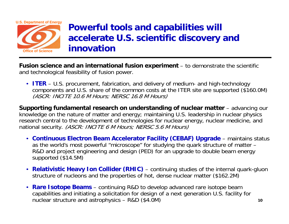

## **Powerful tools and capabilities will accelerate U.S. scientific discovery and innovation**

**Fusion science and an international fusion experiment** – to demonstrate the scientific and technological feasibility of fusion power.

• **ITER** – U.S. procurement, fabrication, and delivery of medium- and high-technology components and U.S. share of the common costs at the ITER site are supported (\$160.0M) (ASCR: INCITE 10.6 M Hours; NERSC 16.8 M Hours)

**Supporting fundamental research on understanding of nuclear matter** – advancing our knowledge on the nature of matter and energy; maintaining U.S. leadership in nuclear physics research central to the development of technologies for nuclear energy, nuclear medicine, and national security. (ASCR: INCITE 6 M Hours; NERSC 5.6 M Hours)

- **Continuous Electron Beam Accelerator Facility (CEBAF) Upgrade** maintains status as the world's most powerful "microscope" for studying the quark structure of matter – R&D and project engineering and design (PED) for an upgrade to double beam energy supported (\$14.5M)
- **Relativistic Heavy Ion Collider (RHIC)** continuing studies of the internal quark-gluon structure of nucleons and the properties of hot, dense nuclear matter (\$162.2M)
- **Rare Isotope Beams**  continuing R&D to develop advanced rare isotope beam capabilities and initiating a solicitation for design of a next generation U.S. facility for nuclear structure and astrophysics – R&D (\$4.0M)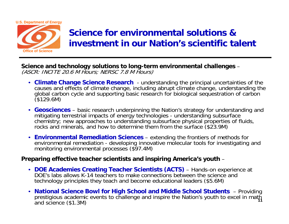

## **Science for environmental solutions & investment in our Nation's scientific talent**

**Science and technology solutions to long-term environmental challenges**  – (ASCR: INCITE 20.6 M Hours; NERSC 7.8 M Hours)

- **Climate Change Science Research**  understanding the principal uncertainties of the causes and effects of climate change, including abrupt climate change, understanding the global carbon cycle and supporting basic research for biological sequestration of carbon<br>(\$129.6M)
- **Geosciences** basic research underpinning the Nation's strategy for understanding and mitigating terrestrial impacts of energy technologies - understanding subsurface chemistry; new approaches to understanding subsurface physical properties of fluids, rocks and minerals, and how to determine them from the surface (\$23.9M)
- **Environmental Remediation Sciences**  extending the frontiers of methods for environmental remediation - developing innovative molecular tools for investigating and monitoring environmental processes (\$97.4M)

#### **Preparing effective teacher scientists and inspiring America's youth** –

- **DOE Academies Creating Teacher Scientists (ACTS)** Hands-on experience at DOE's labs allows K-14 teachers to make connections between the science and technology principles they teach and become educational leaders (\$5.6M)
- **National Science Bowl for High School and Middle School Students** Providing prestigious academic events to challenge and inspire the Nation's youth to excel in math<br>and science (\$1.3M) **11**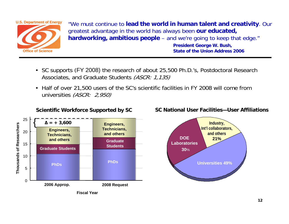

"We must continue to **lead the world in human talent and creativity**. Our greatest advantage in the world has always been **our educated, hardworking, ambitious people** – and we're going to keep that edge."

**President George W. Bush, State of the Union Address 2006**

- SC supports (FY 2008) the research of about 25,500 Ph.D.'s, Postdoctoral Research Associates, and Graduate Students (ASCR: 1, 135)
- Half of over 21,500 users of the SC's scientific facilities in FY 2008 will come from universities (ASCR: 2,950)



**Scientific Workforce Supported by SC**

#### **SC National User Facilities—User Affiliations**

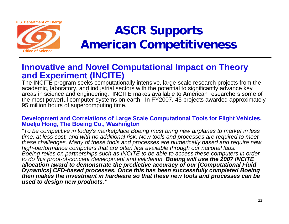

# **ASCR Supports American Competitiveness**

## **Innovative and Novel Computational Impact on Theory and Experiment (INCITE)**

The INCITE program seeks computationally intensive, large-scale research projects from the academic, laboratory, and industrial sectors with the potential to significantly advance key areas in science and engineering. INCITE makes available to American researchers some of the most powerful computer systems on earth. In FY2007, 45 projects awarded approximately 95 million hours of supercomputing time.

#### **Development and Correlations of Large Scale Computational Tools for Flight Vehicles, Moeljo Hong, The Boeing Co., Washington**

*"To be competitive in today's marketplace Boeing must bring new airplanes to market in less time, at less cost, and with no additional risk. New tools and processes are required to meet these challenges. Many of these tools and processes are numerically based and require new, high-performance computers that are often first available through our national labs. Boeing relies on partnerships such as INCITE to be able to access these computers in order to do this proof-of-concept development and validation. Boeing will use the 2007 INCITE allocation award to demonstrate the predictive accuracy of our [Computational Fluid Dynamics] CFD-based processes. Once this has been successfully completed Boeing then makes the investment in hardware so that these new tools and processes can be used to design new products."*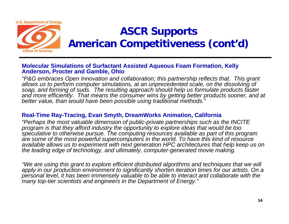

## **ASCR Supports American Competitiveness (cont'd)**

#### **Molecular Simulations of Surfactant Assisted Aqueous Foam Formation, Kelly Anderson, Procter and Gamble, Ohio**

*"P&G embraces Open Innovation and collaboration; this partnership reflects that. This grant allows us to perform computer simulations, at an unprecedented scale, on the dissolving of soap, and forming of suds. The resulting approach should help us formulate products faster and more efficiently. That means the consumer wins by getting better products sooner, and at better value, than would have been possible using traditional methods."*

#### **Real-Time Ray-Tracing, Evan Smyth, DreamWorks Animation, California**

*"Perhaps the most valuable dimension of public-private partnerships such as the INCITE program is that they afford industry the opportunity to explore ideas that would be too speculative to otherwise pursue. The computing resources available as part of this program are some of the most powerful supercomputers in the world. To have this kind of resource available allows us to experiment with next generation HPC architectures that help keep us on the leading edge of technology, and ultimately, computer-generated movie making.* 

*"We are using this grant to explore efficient distributed algorithms and techniques that we will apply in our production environment to significantly shorten iteration times for our artists. On a personal level, it has been immensely valuable to be able to interact and collaborate with the many top-tier scientists and engineers in the Department of Energy."*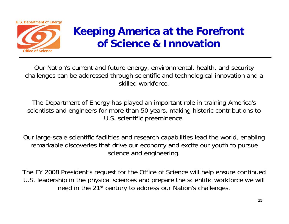

## **Keeping America at the Forefront of Science & Innovation**

Our Nation's current and future energy, environmental, health, and security challenges can be addressed through scientific and technological innovation and a skilled workforce.

The Department of Energy has played an important role in training America's scientists and engineers for more than 50 years, making historic contributions to U.S. scientific preeminence.

Our large-scale scientific facilities and research capabilities lead the world, enabling remarkable discoveries that drive our economy and excite our youth to pursue science and engineering.

The FY 2008 President's request for the Office of Science will help ensure continued U.S. leadership in the physical sciences and prepare the scientific workforce we will need in the 21<sup>st</sup> century to address our Nation's challenges.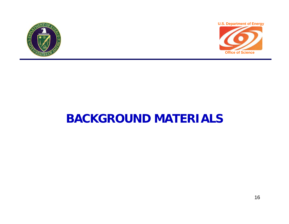



# **BACKGROUND MATERIALS**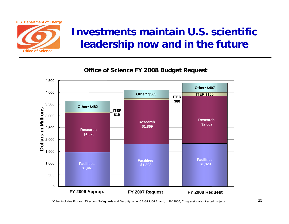

## **Investments maintain U.S. scientific leadership now and in the future**

**Office of Science FY 2008 Budget Request**



\*Other includes Program Direction, Safeguards and Security, other CE/GPP/GPE, and, in FY 2006, Congressionally-directed projects. **<sup>15</sup>**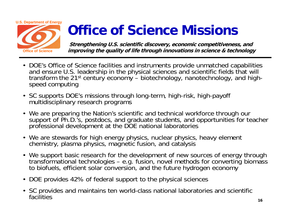# **U.S. Department of Energy Office of Science**

# **Office of Science Missions**

**Strengthening U.S. scientific discovery, economic competitiveness, and improving the quality of life through innovations in science & technology**

- DOE's Office of Science facilities and instruments provide unmatched capabilities and ensure U.S. leadership in the physical sciences and scientific fields that will transform the 21st century economy – biotechnology, nanotechnology, and highspeed computing
- SC supports DOE's missions through long-term, high-risk, high-payoff multidisciplinary research programs
- We are preparing the Nation's scientific and technical workforce through our support of Ph.D.'s, postdocs, and graduate students, and opportunities for teacher professional development at the DOE national laboratories
- We are stewards for high energy physics, nuclear physics, heavy element chemistry, plasma physics, magnetic fusion, and catalysis
- We support basic research for the development of new sources of energy through transformational technologies – e.g. fusion, novel methods for converting biomass to biofuels, efficient solar conversion, and the future hydrogen economy
- DOE provides 42% of federal support to the physical sciences
- SC provides and maintains ten world-class national laboratories and scientific facilities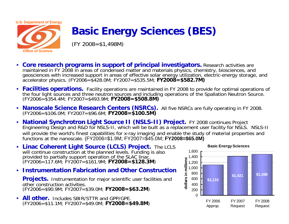

## **Basic Energy Sciences (BES)**

 $(FY 2008 = $1,498M)$ 

- • **Core research programs in support of principal investigators.** Research activities are maintained in FY 2008 in areas of condensed matter and materials physics, chemistry, biosciences, and geosciences with increased support in areas of effective solar energy utilization, electric-energy storage, and accelerator physics. (FY2006=\$428.0M; FY2007=\$535.5M; **FY2008=\$582.7M)**
- • **Facilities operations.** Facility operations are maintained in FY 2008 to provide for optimal operations of the four light sources and three neutron sources and including operations of the Spallation Neutron Source. (FY2006=\$354.4M; FY2007=\$493.9M; **FY2008=\$508.8M)**
- •**Nanoscale Science Research Centers (NSRCs).** All five NSRCs are fully operating in FY 2008.<br>(FY2006=\$106.0M; FY2007=\$96.6M; **FY2008=\$100.5M)**
- National Synchrotron Light Source II (NSLS-II) Project. FY 2008 continues Project Engineering Design and R&D for NSLS-II, which will be built as a replacement user facility for NSLS. NSLS-II will provide the world's finest capabilities for x-ray imaging and enable the study of material properties and functions at the nanoscale. (FY2006=\$1.9M; FY2007=\$45.0M; **FY2008=\$65.0M)**
- **Linac Coherent Light Source (LCLS) Project.** The LCLS will continue construction at the planned levels. Funding is also provided to partially support operation of the SLAC linac. (FY2006=117.6M; FY2007=\$161.9M; **FY2008=\$128.3M**)
- **Instrumentation Fabrication and Other Construction**

**Projects.** Instrumentation for major scientific user facilities and other construction activities. (FY2006=\$90.9M; FY2007=\$39.0M; **FY2008=\$63.2M**)

• **All other.** Includes SBIR/STTR and GPP/GPE. (FY2006=\$11.1M; FY2007=\$49.0M; **FY2008=\$49.8M**)

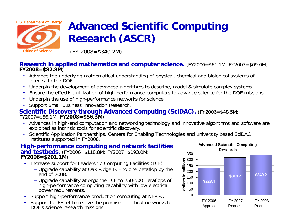

## **Advanced Scientific Computing Research (ASCR)**

(FY 2008=\$340.2M)

## **Research in applied mathematics and computer science.** (FY2006=\$61.1M; FY2007=\$69.6M; **FY2007**=\$69.6M;

- Advance the underlying mathematical understanding of physical, chemical and biological systems of interest to the DOE.
- •Underpin the development of advanced algorithms to describe, model & simulate complex systems.
- •Ensure the effective utilization of high-performance computers to advance science for the DOE missions.
- •Underpin the use of high-performance networks for science.
- •Support Small Business Innovation Research.

## **Scientific Discovery through Advanced Computing (SciDAC).** (FY2006=\$48.5M;<br>FY2007=\$56.1M; **FY2008=\$56.3M**)

- Advances in high-end computation and networking technology and innovative algorithms and software are exploited as intrinsic tools for scientific discovery.
- Scientific Application Partnerships, Centers for Enabling Technologies and university based SciDAC Institutes supported in FY2008.

#### **High-performance computing and network facilities and testbeds.** (FY2006=\$118.8M; FY2007=\$193.0M; **FY2008=\$201.1M**)

- Increase support for Leadership Computing Facilities (LCF)
	- − Upgrade capability at Oak Ridge LCF to one petaflop by the end of 2008.
	- − Upgrade capability at Argonne LCF to 250-500 Teraflops of high-performance computing capability with low electrical power requirements.
- •Support high-performance production computing at NERSC
- • Support for ESnet to realize the promise of optical networks for DOE's science research missions.

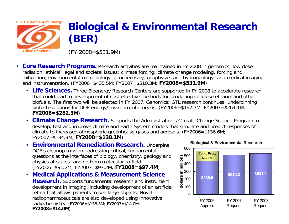

## **Biological & Environmental Research (BER)**

(FY 2008=\$531.9M)

- $\bullet$ **Core Research Programs.** Research activities are maintained in FY 2008 in genomics; low dose radiation; ethical, legal and societal issues; climate forcing; climate change modeling, forcing and mitigation; environmental microbiology, geochemistry, geophysics and hydrogeology; and medical imaging and instrumentation. (FY2006=\$435.5M; FY2007=\$510.3M; **FY2008=\$531.9M**)
	- Life Sciences. Three Bioenergy Research Centers are supported in FY 2008 to accelerate research that could lead to development of cost effective methods for producing cellulose ethanol and other biofuels. The first two will be selected in FY 2007. Genomics: GTL research continues, underpinning biotech solutions for DOE energy/environmental needs. (FY2006=\$197.7M; FY2007=\$264.1M; **FY2008=\$282.3M**)
	- **Climate Change Research.** Supports the Administration's Climate Change Science Program to develop, test and improve climate and Earth System models that simulate and predict responses of climate to increased atmospheric greenhouse gases and aerosols. (FY2006=\$136.6M; FY2007=\$134.9M; **FY2008=\$138.1M**)
	- •**Environmental Remediation Research.** Underpins DOE's cleanup mission addressing critical, fundamental questions at the interfaces of biology, chemistry, geology and physics at scales ranging from molecular to field. (FY2006=\$91.2M; FY2007=\$97.2M; **FY2008=\$97.4M**)
	- **Medical Applications & Measurement Science Research.** Supports fundamental research and instrument development in imaging, including development of an artificial retina that allows patients to see large objects. Novel radiopharmaceuticals are also developed using innovative radiochemistry. (FY2006=\$138.5M; FY2007=\$14.0M; **FY2008=\$14.0M**)



#### **Biological & Environmental Research**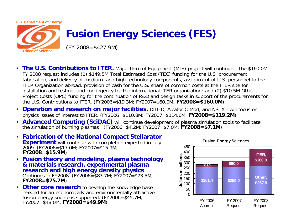

## **Fusion Energy Sciences (FES)**

(FY 2008=\$427.9M)

- **The U.S. Contributions to ITER.** Major Item of Equipment (MIE) project will continue. The \$160.0M FY 2008 request includes (1) \$149.5M Total Estimated Cost (TEC) funding for the U.S. procurement, fabrication, and delivery of medium- and high-technology components, assignment of U.S. personnel to the ITER Organization abroad, provision of cash for the U.S. share of common costs at the ITER site for installation and testing, and contingency for the international ITER organization; and (2) \$10.5M Other Project Costs (OPC) funding for the continuation of R&D and design tasks in support of the procurements for the U.S. Contributions to ITER. (FY2006=\$19.3M; FY2007=\$60.0M; **FY2008=\$160.0M**)
- **Operation and research on major facilities.** DIII-D, Alcator C-Mod, and NSTX will focus on physics issues of interest to ITER. (FY2006=\$110.8M; FY2007=\$114.6M; **FY2008=\$119.2M**)
- **Advanced Computing (SciDAC)** will continue development of plasma simulation tools to facilitate the simulation of burning plasmas . (FY2006=\$4.2M; FY2007=\$7.0M; **FY2008=\$7.1M**)
- **Fabrication of the National Compact Stellarator Experiment** will continue with completion expected in July 2009. (FY2006=\$17.0M; FY2007=\$15.9M; **FY2008=\$15.9M**)
- **Fusion theory and modeling, plasma technology & materials research, experimental plasma research and high energy density physics** Continues in FY2008. (FY2006=\$83.7M; FY2007=\$73.5M; **FY2008=\$75.7M**)
- **Other core research** to develop the knowledge base needed for an economically and environmentally attractive fusion energy source is supported. (FY2006=\$45.7M; FY2007=\$48.0M; **FY2008=\$49.9M**)

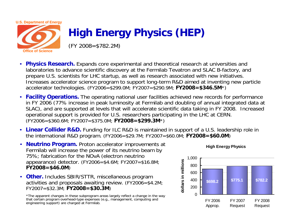

**Office of Science** 

# **High Energy Physics (HEP)**

(FY 2008=\$782.2M)

- •**Physics Research.** Expands core experimental and theoretical research at universities and laboratories to advance scientific discovery at the Fermilab Tevatron and SLAC B-factory, and prepare U.S. scientists for LHC startup, as well as research associated with new initiatives. Increases accelerator science program to support long-term R&D aimed at inventing new particle accelerator technologies. (FY2006=\$299.0M; FY2007=\$290.9M; **FY2008=\$346.5M**\*)
- **Facility Operations.** The operating national user facilities achieved new records for performance in FY 2006 (77% increase in peak luminosity at Fermilab and doubling of annual integrated data at SLAC), and are supported at levels that will accelerate scientific data taking in FY 2008. Increased operational support is provided for U.S. researchers participating in the LHC at CERN. (FY2006=\$360.6M; FY2007=\$375.0M; **FY2008=\$299.3M**\*)
- **Linear Collider R&D.** Funding for ILC R&D is maintained in support of a U.S. leadership role in the international R&D program. (FY2006=\$29.7M; FY2007=\$60.0M; **FY2008=\$60.0M**)
- $\bullet$  **Neutrino Program.** Proton accelerator improvements at Fermilab will increase the power of its neutrino beam by 75%; fabrication for the NOvA (electron neutrino appearance) detector. (FY2006=\$4.6M; FY2007=\$16.8M; **FY2008=\$46.0M**)
- **Other.** Includes SBIR/STTR, miscellaneous program activities and proposals awaiting review. (FY2006=\$4.2M; FY2007=\$32.3M; **FY2008=\$30.3M**)

\*The apparent changes in these subprogram areas largely reflect a change in the way that certain program overhead-type expenses (e.g., management, computing and engineering support) are charged at Fermilab.

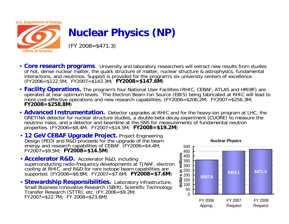

## **Nuclear Physics (NP)**

 $(FY 2008 = $471.3)$ 

- **Core research programs**. University and laboratory researchers will extract new results from studies of hot, dense nuclear matter, the quark structure of matter, nuclear structure & astrophysics, fundamental interactions, and neutrinos. Support is provided for the program's six university centers of excellence. (FY2006=\$122.5M; FY2007=\$143.3M; **FY2008=\$147.6M**)
- Facility Operations. The program's four National User Facilities (RHIC, CEBAF, ATLAS and HRIBF) are operated at near optimum levels. The Electron Beam Ion Source (EBIS) being fabricated at RHIC will lead to more cost-effective operations and new research capabilities. (FY2006=\$206.2M; FY2007=\$256.3M; **FY2007**=\$256.3M;
- **Advanced Instrumentation.** Detector upgrades at RHIC and for the heavy-ion program at LHC, the GRETINA detector for nuclear structure studies, a double-beta decay experiment (CUORE) to measure the neutrino mass, and a detector and beamline at the SNS for measurements of fundamental neutron properties. (FY2006=\$8.4M; FY2007=\$14.5M; **FY2008=\$19.2M**)
- **12 GeV CEBAF Upgrade Project.** Project Engineering Design (PED) and R&D proceeds for the upgrade of the beam energy and research capabilities of CEBAF. (FY2006=\$4.4M; FY2007=\$9.5M; **FY2008=\$14.5M**)
- **Accelerator R&D.** Accelerator R&D, including superconducting radio-frequency developments at TJNAF, electron cooling at RHIC and R&D for rare isotope beam capabilities are supported. (FY2006=\$6.8M; FY2007=\$7.6M; **FY2008=\$7.6M)**
- **Stewardship Responsibilities.** Laboratory infrastructure, Small Business Innovative Research (SBIR), Scientific Technology Transfer Research (STTR), etc. (FY 2006=\$9.2M;  $FY2007 = $22.7M$ ; FY  $2008 = $23.6M$ )

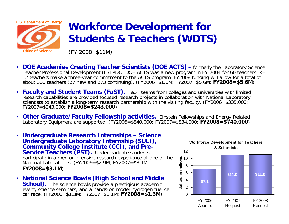

## **Workforce Development for Students & Teachers (WDTS)**

(FY 2008=\$11M)

- • **DOE Academies Creating Teacher Scientists (DOE ACTS) –**Teacher Professional Development (LSTPD). DOE ACTS was a new program in FY 2004 for 60 teachers. K–<br>12 teachers make a three-year commitment to the ACTS program. FY2008 funding will allow for a total of about 300 teachers (27 new and 273 continuing). (FY2006=\$1.6M; FY2007=\$5.6M; **FY2008=\$5.6M)**
- •**Faculty and Student Teams (FaST).** FaST teams from colleges and universities with limited research capabilities are provided focused research projects in collaboration with National Laboratory scientists to establish a long-term research partnership with the visiting faculty. (FY2006=\$335,000; **FY2008=\$243,000**)
- $\bullet$ **Other Graduate/Faculty Fellowship activities.** Einstein Fellowships and Energy Related Laboratory Equipment are supported. (FY2006=\$840,000; FY2007=\$834,000; **FY2008=\$740,000**)
- • **Undergraduate Research Internships – Science Community College Institute (CCI), and Pre-<br>Service Teachers (PST).** Undergraduate students participate in a mentor intensive research experience at one of the National Laboratories. (FY2006=\$2.9M; FY2007=\$3.1M; **FY2008=\$3.1M**)
- National Science Bowls (High School and Middle **School).** The science bowls provide a prestigious academic event, science seminars, and a hands-on model hydrogen fuel cell car race. (FY2006=\$1.3M; FY2007=\$1.1M; **FY2008=\$1.3M**)

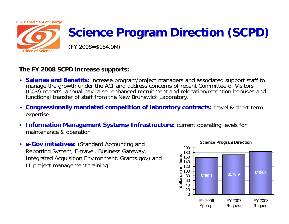

# **Science Program Direction (SCPD)**

(FY 2008=\$184.9M)

#### **The FY 2008 SCPD increase supports:**

- **Salaries and Benefits:** increase program/project managers and associated support staff to (COV) reports; annual pay raise; enhanced recruitment and relocation/retention bonuses; and functional transfer of staff from the New Brunswick Laboratory.
- **Congressionally mandated competition of laboratory contracts:** travel & short-term expertise
- **Information Management Systems/Infrastructure:** current operating levels for maintenance & operation
- **e-Gov initiatives:** (Standard Accounting and Reporting System, E-travel, Business Gateway, Integrated Acquisition Environment, Grants.gov) and IT project management training

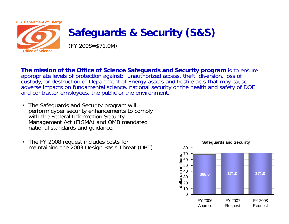

## **Safeguards & Security (S&S)**

(FY 2008=\$71.0M)

**The mission of the Office of Science Safeguards and Security program** is to ensure appropriate levels of protection against: unauthorized access, theft, diversion, loss of custody, or destruction of Department of Energy assets and hostile acts that may cause adverse impacts on fundamental science, national security or the health and safety of DOE and contractor employees, the public or the environment.

- The Safeguards and Security program will perform cyber security enhancements to comply<br>with the Federal Information Security Management Act (FISMA) and OMB mandated national standards and guidance.
- The FY 2008 request includes costs for maintaining the 2003 Design Basis Threat (DBT).

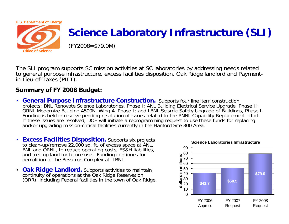

## **Science Laboratory Infrastructure (SLI)**

(FY2008=\$79.0M)

The SLI program supports SC mission activities at SC laboratories by addressing needs related to general purpose infrastructure, excess facilities disposition, Oak Ridge landlord and Payment-<br>in-Lieu-of-Taxes (PILT).

#### **Summary of FY 2008 Budget:**

- **General Purpose Infrastructure Construction.** Supports four line item construction proiects: BNL Renovate Science Laboratories, Phase I; ANL Building Electrical Service Upgrade, Phase II; ORNL Modernize Building 4500N, Wing 4, Phase I; and LBNL Seismic Safety Upgrade of Buildings, Phase I. Funding is held in reserve pending resolution of issues related to the PNNL Capability Replacement effort. If these issues are resolved, DOE will initiate a reprogramming request to use these funds for replacing and/or upgrading mission-critical facilities currently in the Hanford Site 300 Area.
- **Excess Facilities Disposition.** Supports six projects to clean-up/remove 22,000 sq. ft. of excess space at ANL, BNL and ORNL, to reduce operating costs, ES&H liabilities, and free up land for future use. Funding continues for demolition of the Bevatron Complex at LBNL.
- $\bullet$ **Oak Ridge Landlord.** Supports activities to maintain continuity of operations at the Oak Ridge Reservation (ORR), including Federal facilities in the town of Oak Ridge.

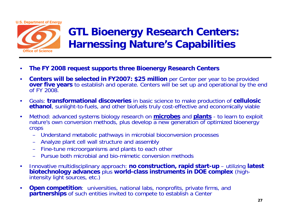

## **GTL Bioenergy Research Centers: Harnessing Nature's Capabilities**

- •**The FY 2008 request supports three Bioenergy Research Centers**
- • **Centers will be selected in FY2007: \$25 million** per Center per year to be provided **over five years** to establish and operate. Centers will be set up and operational by the end of FY 2008.
- $\bullet$  Goals: **transformational discoveries** in basic science to make production of **cellulosic ethanol**, sunlight-to-fuels, and other biofuels truly cost-effective and economically viable
- $\bullet$  Method: advanced systems biology research on **microbes** and **plants** - to learn to exploit nature's own conversion methods, plus develop a new generation of optimized bioenergy crops
	- Understand metabolic pathways in microbial bioconversion processes
	- Analyze plant cell wall structure and assembly
	- Fine-tune microorganisms and plants to each other
	- Pursue both microbial and bio-mimetic conversion methods
- $\bullet$  Innovative multidisciplinary approach: **no construction, rapid start-up** – utilizing **latest biotechnology advances** plus **world-class instruments in DOE complex** (high-<br>intensity light sources, etc.)
- •**Open competition**: universities, national labs, nonprofits, private firms, and **partnerships** of such entities invited to compete to establish a Center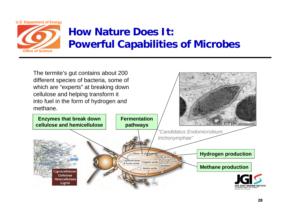

## **How Nature Does It:Powerful Capabilities of Microbes**

The termite's gut contains about 200 different species of bacteria, some of which are "experts" at breaking down cellulose and helping transform it into fuel in the form of hydrogen and

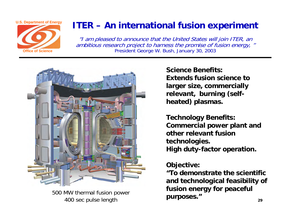

## **ITER – An international fusion experiment**

"I am pleased to announce that the United States will join ITER, an ambitious research project to harness the promise of fusion energy, " President George W. Bush, January 30, 2003



500 MW thermal fusion power 400 sec pulse length

**Science Benefits:Extends fusion science to larger size, commercially relevant, burning (selfheated) plasmas.**

**Technology Benefits: Commercial power plant and other relevant fusion technologies. High duty-factor operation.**

#### **Objective:**

**"To demonstrate the scientific and technological feasibility of fusion energy for peaceful purposes."**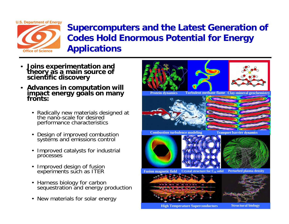**U.S. Department of Energy**



## **Supercomputers and the Latest Generation of Codes Hold Enormous Potential for Energy Applications**

- •**Joins experimentation and theory as a main source of scientific discovery**
- $\bullet$  **Advances in computation will impact energy goals on many fronts:**
	- •Radically new materials designed at<br>the nano-scale for desired performance characteristics
	- •Design of improved combustion systems and emissions control
	- • Improved catalysts for industrial processes
	- •Improved design of fusion experiments such as ITER
	- Harness biology for carbon sequestration and energy production
	- New materials for solar energy



**High Temperature Superconductors**

**Structural biology**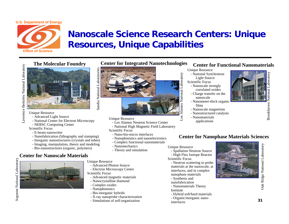

## **Nanoscale Science Research Centers: Unique Resources, Unique Capabilities**



The Molecular Foundry<br> **Example 2018**<br>
The Molecular Foundry<br>
The Molecular Boundary<br>
The Molecular Source<br>
Supply the Surface<br>
Consider the Surface<br>
- National Center for Electron Microsoft

#### Unique Resource

- Advanced Light Source
- National Center for Electron Microscopy
- NERSC Computing Center

Scientific Focus

- E-beam nanowriter
- Nanofabrication (lithography and stamping)
- Inorganic nanostructures (crystals and tubes)
- Imaging, manipulation, theory and modeling
- Bio-nanostructures (organic, polymers)

#### **Center for Nanoscale Materials**

Argonne National Laboratory Argonne National Laboratory



**Center for Integrated Nanotechnologies**



#### Unique Resource

- Los Alamos Neutron Science Center
- National High Magnetic Field Laboratory
- Scientific Focus
- Nano-bio-micro interfaces
- Nanophotonics and nanoelectronics
- Complex functional nanomaterials
- Nanomechanics
- Theory and simulation

- Unique Resource
	- Advanced Photon Source
- Electron Microscopy Center Scientific Focus
	- Advanced magnetic materials
	- Nanocrystalline diamond
	- Complex oxides
	- Nanophotonics
	- Bio-inorganic hybrids
	- X-ray nanoprobe characterization
	- Simulations of self-organization

#### **Center for Functional Nanomaterials**

Unique Resource

- National Synchrotron Light Source Scientific Focus
- Nanoscale strongly correlated oxides
- Charge transfer on the nanoscale- Nanometer-thick organic
- films
- Nanoscale magnetism
- Nanostructured catalysts
- Nanomaterials applications

## **Center for Nanophase Materials Sciences**

#### Unique Resource

ational

**Alamos** 

- Spallation Neutron Source - High Flux Isotope Reactor
- Scientific Focus
	- Neutron scattering to probe materials at the nanoscale, at interfaces, and in complex nanophase materials
	- Synthesis and
	- nanofabrication
	- Nanomaterials Theory
	- Institute
	- Hybrid soft/hard materials
	- Organic/inorganic nanointerfaces



Oak Ridge National Laboratory Oak Ridge National Laboratory

Brookhaven National Laboratory

Brookhaven

National Laboratory

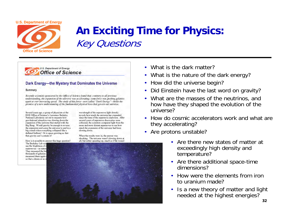

## **An Exciting Time for Physics:** Key Questions

#### U.S. Department of Energy **Office of Science**

#### Dark Energy-the Mystery that Dominates the Universe

#### Summary

Recently scientists sponsored by the Office of Science found that, contrary to all previous understanding, the expansion of the universe was accelerating: some force was pushing galaxies apart at ever increasing speed. The study of this force-now called "Dark Energy"-holds the promise of a new understanding of the fundamental physical laws that govern our universe.

Several years ago, a group of physicists at the DOE Office of Science's Lawrence Berkeley National Laboratory set out to measure how gravitational attraction was slowing down the expansion of the universe that started with the Big Bang. Would gravity be enough to reverse the expansion and cause the universe to end in a big crunch when everything collapsed like a deflated balloon? Or is space growing so fast that gravity can't contain it?

How is it possible to answer this huge question? The Berkeley Lab scie use the brightness of c supernovae - as natur. They measured the bri thousands of galaxies measured them again so that a dozen or so n

wavelength of the supemova light directly reveals how much the universe has expanded since the time of the supernova explosion. After several years of supemova discoveries were collected, the scientists compared light from the more and more distant supernovae to see how much the expansion of the universe had been slowing down.

When the results were in, the answer was shocking. The universe wasn't slowing down at all, but rather speeding up, much as if the tossed



- What is the dark matter?
- •What is the nature of the dark energy?
- •How did the universe begin?
- •Did Einstein have the last word on gravity?
- • What are the masses of the neutrinos, and how have they shaped the evolution of the universe?
- How do cosmic accelerators work and what are they accelerating?
- • Are protons unstable?
	- Are there new states of matter at exceedingly high density and temperature?
	- Are there additional space-time dimensions?
	- How were the elements from iron to uranium made?
	- Is a new theory of matter and light needed at the highest energies?